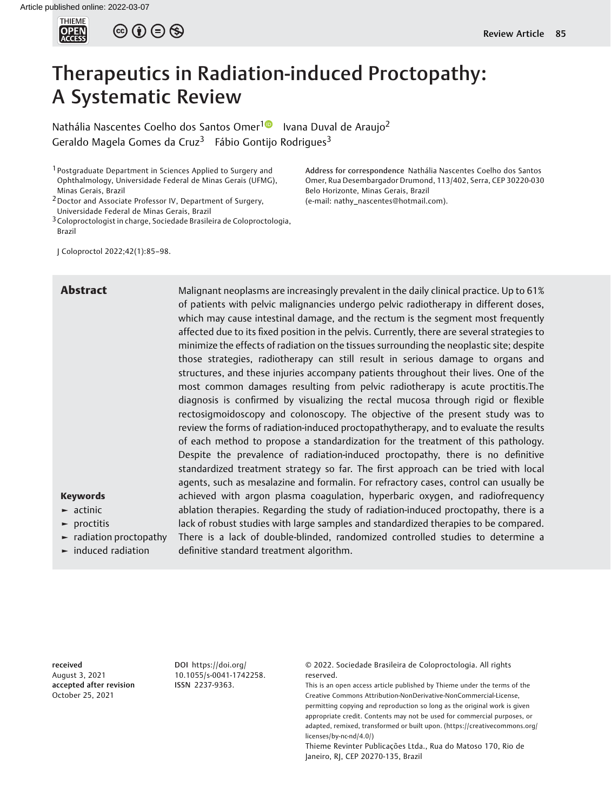

 $\circledcirc \circ \circ \circ$ 

# Therapeutics in Radiation-induced Proctopathy: A Systematic Review

Nathália Nascentes Coelho dos Santos Omer<sup>[1](https://orcid.org/0000-0003-4047-924X)0</sup> Ivana Duval de Araujo<sup>2</sup> Geraldo Magela Gomes da Cruz<sup>3</sup> Fábio Gontijo Rodrigues<sup>3</sup>

1 Postgraduate Department in Sciences Applied to Surgery and Ophthalmology, Universidade Federal de Minas Gerais (UFMG), Minas Gerais, Brazil

<sup>2</sup> Doctor and Associate Professor IV, Department of Surgery, Universidade Federal de Minas Gerais, Brazil

 $3$  Coloproctologist in charge, Sociedade Brasileira de Coloproctologia, Brazil

Address for correspondence Nathália Nascentes Coelho dos Santos Omer, Rua Desembargador Drumond, 113/402, Serra, CEP 30220-030 Belo Horizonte, Minas Gerais, Brazil (e-mail: [nathy\\_nascentes@hotmail.com\)](mailto:nathy_nascentes@hotmail.com).

J Coloproctol 2022;42(1):85–98.

Abstract Malignant neoplasms are increasingly prevalent in the daily clinical practice. Up to 61% of patients with pelvic malignancies undergo pelvic radiotherapy in different doses, which may cause intestinal damage, and the rectum is the segment most frequently affected due to its fixed position in the pelvis. Currently, there are several strategies to minimize the effects of radiation on the tissues surrounding the neoplastic site; despite those strategies, radiotherapy can still result in serious damage to organs and structures, and these injuries accompany patients throughout their lives. One of the most common damages resulting from pelvic radiotherapy is acute proctitis.The diagnosis is confirmed by visualizing the rectal mucosa through rigid or flexible rectosigmoidoscopy and colonoscopy. The objective of the present study was to review the forms of radiation-induced proctopathytherapy, and to evaluate the results of each method to propose a standardization for the treatment of this pathology. Despite the prevalence of radiation-induced proctopathy, there is no definitive standardized treatment strategy so far. The first approach can be tried with local agents, such as mesalazine and formalin. For refractory cases, control can usually be achieved with argon plasma coagulation, hyperbaric oxygen, and radiofrequency ablation therapies. Regarding the study of radiation-induced proctopathy, there is a lack of robust studies with large samples and standardized therapies to be compared. There is a lack of double-blinded, randomized controlled studies to determine a definitive standard treatment algorithm.

# Keywords

- ► actinic
- ► proctitis
- ► radiation proctopathy
- ► induced radiation

received August 3, 2021 accepted after revision October 25, 2021

DOI [https://doi.org/](https://doi.org/10.1055/s-0041-1742258) [10.1055/s-0041-1742258](https://doi.org/10.1055/s-0041-1742258). ISSN 2237-9363.

© 2022. Sociedade Brasileira de Coloproctologia. All rights reserved.

This is an open access article published by Thieme under the terms of the Creative Commons Attribution-NonDerivative-NonCommercial-License, permitting copying and reproduction so long as the original work is given appropriate credit. Contents may not be used for commercial purposes, or adapted, remixed, transformed or built upon. (https://creativecommons.org/ licenses/by-nc-nd/4.0/)

Thieme Revinter Publicações Ltda., Rua do Matoso 170, Rio de Janeiro, RJ, CEP 20270-135, Brazil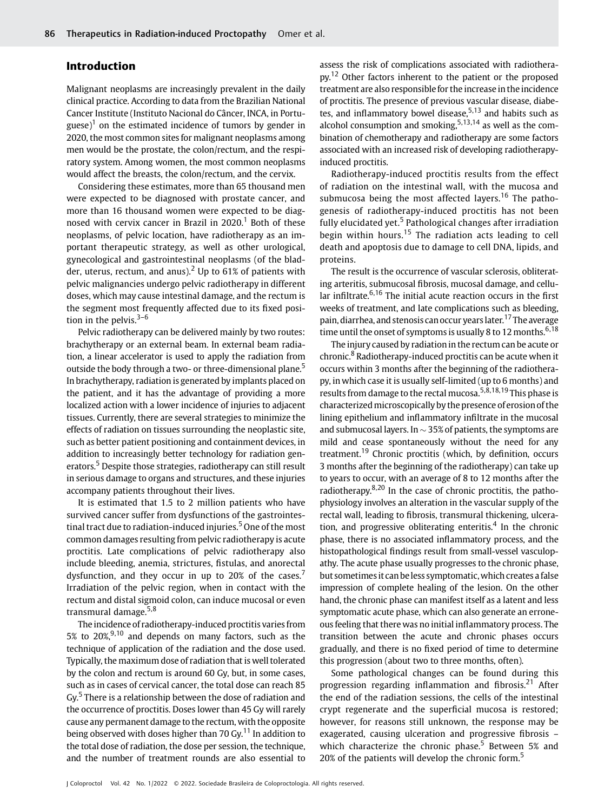# Introduction

Malignant neoplasms are increasingly prevalent in the daily clinical practice. According to data from the Brazilian National Cancer Institute (Instituto Nacional do Câncer, INCA, in Portuguese)<sup>1</sup> on the estimated incidence of tumors by gender in 2020, the most common sites for malignant neoplasms among men would be the prostate, the colon/rectum, and the respiratory system. Among women, the most common neoplasms would affect the breasts, the colon/rectum, and the cervix.

Considering these estimates, more than 65 thousand men were expected to be diagnosed with prostate cancer, and more than 16 thousand women were expected to be diagnosed with cervix cancer in Brazil in  $2020$ .<sup>1</sup> Both of these neoplasms, of pelvic location, have radiotherapy as an important therapeutic strategy, as well as other urological, gynecological and gastrointestinal neoplasms (of the bladder, uterus, rectum, and anus).<sup>2</sup> Up to 61% of patients with pelvic malignancies undergo pelvic radiotherapy in different doses, which may cause intestinal damage, and the rectum is the segment most frequently affected due to its fixed position in the pelvis. $3-6$ 

Pelvic radiotherapy can be delivered mainly by two routes: brachytherapy or an external beam. In external beam radiation, a linear accelerator is used to apply the radiation from outside the body through a two- or three-dimensional plane.<sup>5</sup> In brachytherapy, radiation is generated by implants placed on the patient, and it has the advantage of providing a more localized action with a lower incidence of injuries to adjacent tissues. Currently, there are several strategies to minimize the effects of radiation on tissues surrounding the neoplastic site, such as better patient positioning and containment devices, in addition to increasingly better technology for radiation generators.<sup>5</sup> Despite those strategies, radiotherapy can still result in serious damage to organs and structures, and these injuries accompany patients throughout their lives.

It is estimated that 1.5 to 2 million patients who have survived cancer suffer from dysfunctions of the gastrointestinal tract due to radiation-induced injuries.<sup>5</sup> One of the most common damages resulting from pelvic radiotherapy is acute proctitis. Late complications of pelvic radiotherapy also include bleeding, anemia, strictures, fistulas, and anorectal dysfunction, and they occur in up to 20% of the cases.<sup>7</sup> Irradiation of the pelvic region, when in contact with the rectum and distal sigmoid colon, can induce mucosal or even transmural damage.<sup>5,8</sup>

The incidence of radiotherapy-induced proctitis varies from 5% to  $20\%,^{9,10}$  and depends on many factors, such as the technique of application of the radiation and the dose used. Typically, the maximum dose of radiation that is well tolerated by the colon and rectum is around 60 Gy, but, in some cases, such as in cases of cervical cancer, the total dose can reach 85 Gy.<sup>5</sup> There is a relationship between the dose of radiation and the occurrence of proctitis. Doses lower than 45 Gy will rarely cause any permanent damage to the rectum, with the opposite being observed with doses higher than 70 Gy.<sup>11</sup> In addition to the total dose of radiation, the dose per session, the technique, and the number of treatment rounds are also essential to assess the risk of complications associated with radiotherapy.<sup>12</sup> Other factors inherent to the patient or the proposed treatment are also responsible for the increase in the incidence of proctitis. The presence of previous vascular disease, diabetes, and inflammatory bowel disease,  $5,13$  and habits such as alcohol consumption and smoking,  $5,13,14$  as well as the combination of chemotherapy and radiotherapy are some factors associated with an increased risk of developing radiotherapyinduced proctitis.

Radiotherapy-induced proctitis results from the effect of radiation on the intestinal wall, with the mucosa and submucosa being the most affected layers.<sup>16</sup> The pathogenesis of radiotherapy-induced proctitis has not been fully elucidated yet.<sup>5</sup> Pathological changes after irradiation begin within hours.<sup>15</sup> The radiation acts leading to cell death and apoptosis due to damage to cell DNA, lipids, and proteins.

The result is the occurrence of vascular sclerosis, obliterating arteritis, submucosal fibrosis, mucosal damage, and cellular infiltrate. $6,16$  The initial acute reaction occurs in the first weeks of treatment, and late complications such as bleeding, pain, diarrhea, and stenosis can occur years later.<sup>17</sup> The average time until the onset of symptoms is usually 8 to 12 months.<sup>6,18</sup>

The injury caused by radiation in the rectum can be acute or chronic.<sup>8</sup> Radiotherapy-induced proctitis can be acute when it occurs within 3 months after the beginning of the radiotherapy, in which case it is usually self-limited (up to 6 months) and results from damage to the rectal mucosa.5,8,18,19 This phase is characterizedmicroscopically by the presence of erosion of the lining epithelium and inflammatory infiltrate in the mucosal and submucosal layers. In  $\sim$  35% of patients, the symptoms are mild and cease spontaneously without the need for any treatment.<sup>19</sup> Chronic proctitis (which, by definition, occurs 3 months after the beginning of the radiotherapy) can take up to years to occur, with an average of 8 to 12 months after the radiotherapy. $8,20$  In the case of chronic proctitis, the pathophysiology involves an alteration in the vascular supply of the rectal wall, leading to fibrosis, transmural thickening, ulceration, and progressive obliterating enteritis.<sup>4</sup> In the chronic phase, there is no associated inflammatory process, and the histopathological findings result from small-vessel vasculopathy. The acute phase usually progresses to the chronic phase, but sometimesit can beless symptomatic,which creates a false impression of complete healing of the lesion. On the other hand, the chronic phase can manifest itself as a latent and less symptomatic acute phase, which can also generate an erroneous feeling that there was no initial inflammatory process. The transition between the acute and chronic phases occurs gradually, and there is no fixed period of time to determine this progression (about two to three months, often).

Some pathological changes can be found during this progression regarding inflammation and fibrosis.<sup>21</sup> After the end of the radiation sessions, the cells of the intestinal crypt regenerate and the superficial mucosa is restored; however, for reasons still unknown, the response may be exagerated, causing ulceration and progressive fibrosis – which characterize the chronic phase.<sup>5</sup> Between 5% and 20% of the patients will develop the chronic form.<sup>5</sup>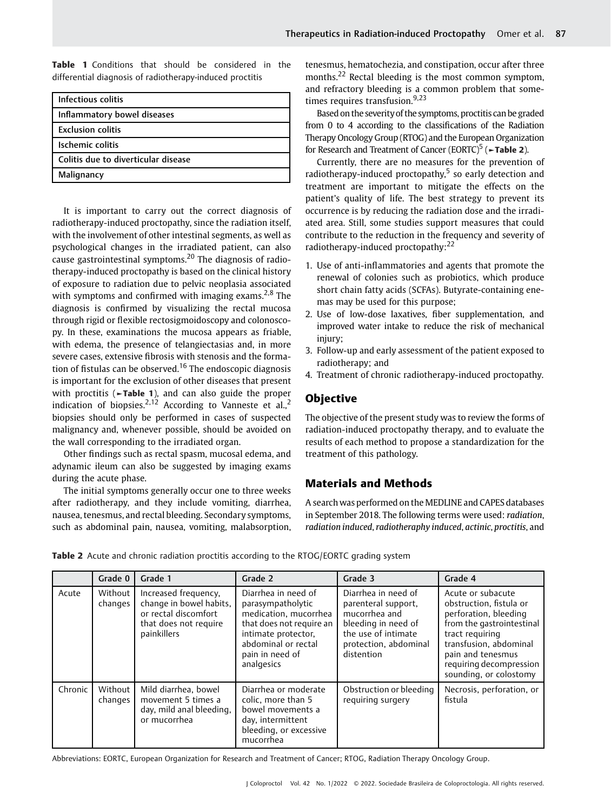Table 1 Conditions that should be considered in the differential diagnosis of radiotherapy-induced proctitis

| Infectious colitis                  |  |  |  |  |
|-------------------------------------|--|--|--|--|
| Inflammatory bowel diseases         |  |  |  |  |
| <b>Exclusion colitis</b>            |  |  |  |  |
| Ischemic colitis                    |  |  |  |  |
| Colitis due to diverticular disease |  |  |  |  |
| Malignancy                          |  |  |  |  |

It is important to carry out the correct diagnosis of radiotherapy-induced proctopathy, since the radiation itself, with the involvement of other intestinal segments, as well as psychological changes in the irradiated patient, can also cause gastrointestinal symptoms.<sup>20</sup> The diagnosis of radiotherapy-induced proctopathy is based on the clinical history of exposure to radiation due to pelvic neoplasia associated with symptoms and confirmed with imaging exams.<sup>2,8</sup> The diagnosis is confirmed by visualizing the rectal mucosa through rigid or flexible rectosigmoidoscopy and colonoscopy. In these, examinations the mucosa appears as friable, with edema, the presence of telangiectasias and, in more severe cases, extensive fibrosis with stenosis and the formation of fistulas can be observed.<sup>16</sup> The endoscopic diagnosis is important for the exclusion of other diseases that present with proctitis (►Table 1), and can also guide the proper indication of biopsies.<sup>2,12</sup> According to Vanneste et al.,<sup>2</sup> biopsies should only be performed in cases of suspected malignancy and, whenever possible, should be avoided on the wall corresponding to the irradiated organ.

Other findings such as rectal spasm, mucosal edema, and adynamic ileum can also be suggested by imaging exams during the acute phase.

The initial symptoms generally occur one to three weeks after radiotherapy, and they include vomiting, diarrhea, nausea, tenesmus, and rectal bleeding. Secondary symptoms, such as abdominal pain, nausea, vomiting, malabsorption, tenesmus, hematochezia, and constipation, occur after three months.<sup>22</sup> Rectal bleeding is the most common symptom, and refractory bleeding is a common problem that sometimes requires transfusion.<sup>9,23</sup>

Based on the severity of the symptoms, proctitis can be graded from 0 to 4 according to the classifications of the Radiation Therapy Oncology Group (RTOG) and the European Organization for Research and Treatment of Cancer (EORTC)<sup>5</sup> ( $\blacktriangleright$ Table 2).

Currently, there are no measures for the prevention of radiotherapy-induced proctopathy, $5$  so early detection and treatment are important to mitigate the effects on the patient's quality of life. The best strategy to prevent its occurrence is by reducing the radiation dose and the irradiated area. Still, some studies support measures that could contribute to the reduction in the frequency and severity of radiotherapy-induced proctopathy:<sup>22</sup>

- 1. Use of anti-inflammatories and agents that promote the renewal of colonies such as probiotics, which produce short chain fatty acids (SCFAs). Butyrate-containing enemas may be used for this purpose;
- 2. Use of low-dose laxatives, fiber supplementation, and improved water intake to reduce the risk of mechanical injury;
- 3. Follow-up and early assessment of the patient exposed to radiotherapy; and
- 4. Treatment of chronic radiotherapy-induced proctopathy.

# **Objective**

The objective of the present study was to review the forms of radiation-induced proctopathy therapy, and to evaluate the results of each method to propose a standardization for the treatment of this pathology.

# Materials and Methods

A search was performed on the MEDLINE and CAPES databases in September 2018. The following terms were used: radiation, radiation induced, radiotheraphy induced, actinic, proctitis, and

|         | Grade 0            | Grade 1                                                                                                         | Grade 2                                                                                                                                                                      | Grade 3                                                                                                                                          | Grade 4                                                                                                                                                                                                                   |
|---------|--------------------|-----------------------------------------------------------------------------------------------------------------|------------------------------------------------------------------------------------------------------------------------------------------------------------------------------|--------------------------------------------------------------------------------------------------------------------------------------------------|---------------------------------------------------------------------------------------------------------------------------------------------------------------------------------------------------------------------------|
| Acute   | Without<br>changes | Increased frequency,<br>change in bowel habits,<br>or rectal discomfort<br>that does not require<br>painkillers | Diarrhea in need of<br>parasympatholytic<br>medication, mucorrhea<br>that does not require an<br>intimate protector,<br>abdominal or rectal<br>pain in need of<br>analgesics | Diarrhea in need of<br>parenteral support,<br>mucorrhea and<br>bleeding in need of<br>the use of intimate<br>protection, abdominal<br>distention | Acute or subacute<br>obstruction. fistula or<br>perforation, bleeding<br>from the gastrointestinal<br>tract requiring<br>transfusion, abdominal<br>pain and tenesmus<br>requiring decompression<br>sounding, or colostomy |
| Chronic | Without<br>changes | Mild diarrhea, bowel<br>movement 5 times a<br>day, mild anal bleeding,<br>or mucorrhea                          | Diarrhea or moderate<br>colic, more than 5<br>bowel movements a<br>day, intermittent<br>bleeding, or excessive<br>mucorrhea                                                  | Obstruction or bleeding<br>requiring surgery                                                                                                     | Necrosis, perforation, or<br>fistula                                                                                                                                                                                      |

**Table 2** Acute and chronic radiation proctitis according to the RTOG/EORTC grading system

Abbreviations: EORTC, European Organization for Research and Treatment of Cancer; RTOG, Radiation Therapy Oncology Group.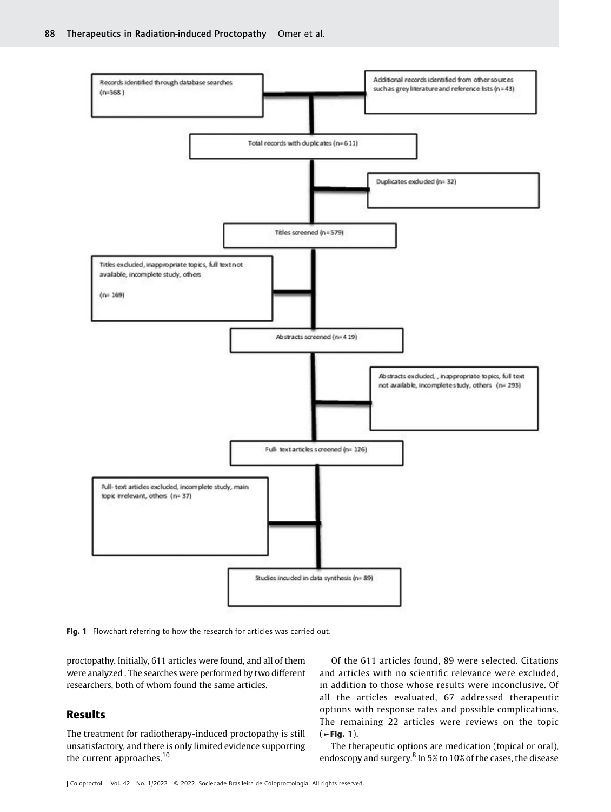

Fig. 1 Flowchart referring to how the research for articles was carried out.

proctopathy. Initially, 611 articles were found, and all of them were analyzed . The searches were performed by two different researchers, both of whom found the same articles.

# Results

The treatment for radiotherapy-induced proctopathy is still unsatisfactory, and there is only limited evidence supporting the current approaches.<sup>10</sup>

Of the 611 articles found, 89 were selected. Citations and articles with no scientific relevance were excluded, in addition to those whose results were inconclusive. Of all the articles evaluated, 67 addressed therapeutic options with response rates and possible complications. The remaining 22 articles were reviews on the topic  $($   $\blacktriangleright$  Fig. 1).

The therapeutic options are medication (topical or oral), endoscopy and surgery.<sup>8</sup> In 5% to 10% of the cases, the disease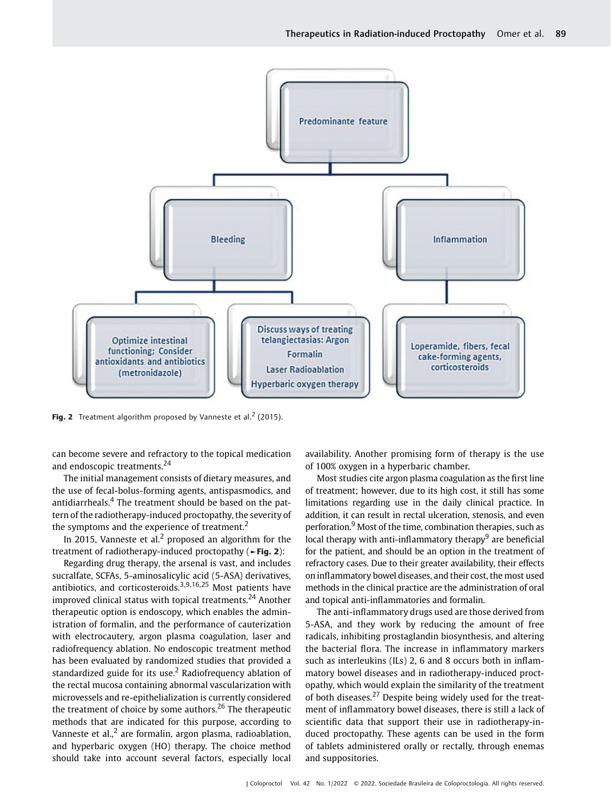

Fig. 2 Treatment algorithm proposed by Vanneste et al.<sup>2</sup> (2015).

can become severe and refractory to the topical medication and endoscopic treatments.<sup>24</sup>

The initial management consists of dietary measures, and the use of fecal-bolus-forming agents, antispasmodics, and antidiarrheals.<sup>4</sup> The treatment should be based on the pattern of the radiotherapy-induced proctopathy, the severity of the symptoms and the experience of treatment.<sup>2</sup>

In 2015, Vanneste et al.<sup>2</sup> proposed an algorithm for the treatment of radiotherapy-induced proctopathy (►Fig. 2):

Regarding drug therapy, the arsenal is vast, and includes sucralfate, SCFAs, 5-aminosalicylic acid (5-ASA) derivatives, antibiotics, and corticosteroids.<sup>3,9,16,25</sup> Most patients have improved clinical status with topical treatments. $24$  Another therapeutic option is endoscopy, which enables the administration of formalin, and the performance of cauterization with electrocautery, argon plasma coagulation, laser and radiofrequency ablation. No endoscopic treatment method has been evaluated by randomized studies that provided a standardized guide for its use.<sup>2</sup> Radiofrequency ablation of the rectal mucosa containing abnormal vascularization with microvessels and re-epithelialization is currently considered the treatment of choice by some authors.<sup>26</sup> The therapeutic methods that are indicated for this purpose, according to Vanneste et al. $<sup>2</sup>$  are formalin, argon plasma, radioablation,</sup> and hyperbaric oxygen (HO) therapy. The choice method should take into account several factors, especially local availability. Another promising form of therapy is the use of 100% oxygen in a hyperbaric chamber.

Most studies cite argon plasma coagulation as the first line of treatment; however, due to its high cost, it still has some limitations regarding use in the daily clinical practice. In addition, it can result in rectal ulceration, stenosis, and even perforation.<sup>9</sup> Most of the time, combination therapies, such as local therapy with anti-inflammatory therapy $9$  are beneficial for the patient, and should be an option in the treatment of refractory cases. Due to their greater availability, their effects on inflammatory bowel diseases, and their cost, the most used methods in the clinical practice are the administration of oral and topical anti-inflammatories and formalin.

The anti-inflammatory drugs used are those derived from 5-ASA, and they work by reducing the amount of free radicals, inhibiting prostaglandin biosynthesis, and altering the bacterial flora. The increase in inflammatory markers such as interleukins (ILs) 2, 6 and 8 occurs both in inflammatory bowel diseases and in radiotherapy-induced proctopathy, which would explain the similarity of the treatment of both diseases. $^{27}$  Despite being widely used for the treatment of inflammatory bowel diseases, there is still a lack of scientific data that support their use in radiotherapy-induced proctopathy. These agents can be used in the form of tablets administered orally or rectally, through enemas and suppositories.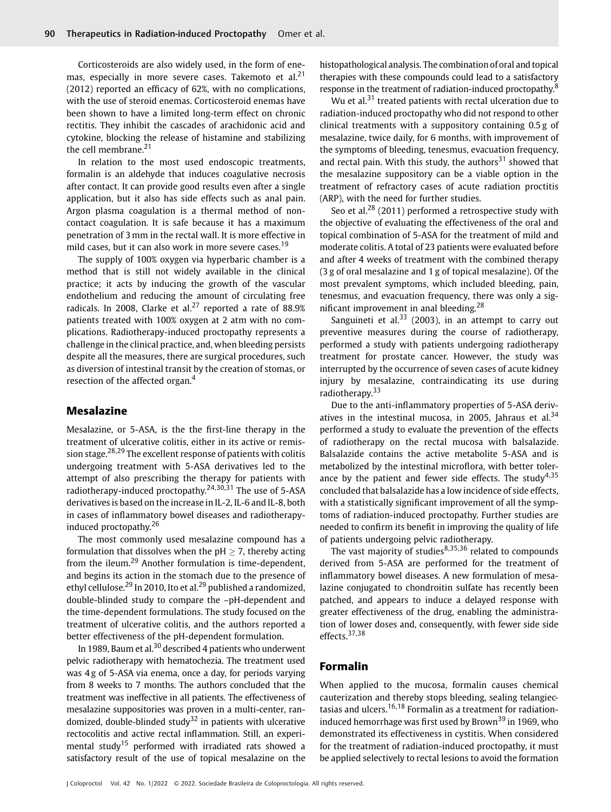Corticosteroids are also widely used, in the form of enemas, especially in more severe cases. Takemoto et al. $21$ (2012) reported an efficacy of 62%, with no complications, with the use of steroid enemas. Corticosteroid enemas have been shown to have a limited long-term effect on chronic rectitis. They inhibit the cascades of arachidonic acid and cytokine, blocking the release of histamine and stabilizing the cell membrane.<sup>21</sup>

In relation to the most used endoscopic treatments, formalin is an aldehyde that induces coagulative necrosis after contact. It can provide good results even after a single application, but it also has side effects such as anal pain. Argon plasma coagulation is a thermal method of noncontact coagulation. It is safe because it has a maximum penetration of 3 mm in the rectal wall. It is more effective in mild cases, but it can also work in more severe cases.<sup>19</sup>

The supply of 100% oxygen via hyperbaric chamber is a method that is still not widely available in the clinical practice; it acts by inducing the growth of the vascular endothelium and reducing the amount of circulating free radicals. In 2008, Clarke et al.<sup>27</sup> reported a rate of  $88.9%$ patients treated with 100% oxygen at 2 atm with no complications. Radiotherapy-induced proctopathy represents a challenge in the clinical practice, and, when bleeding persists despite all the measures, there are surgical procedures, such as diversion of intestinal transit by the creation of stomas, or resection of the affected organ.<sup>4</sup>

### Mesalazine

Mesalazine, or 5-ASA, is the the first-line therapy in the treatment of ulcerative colitis, either in its active or remission stage.28,29 The excellent response of patients with colitis undergoing treatment with 5-ASA derivatives led to the attempt of also prescribing the therapy for patients with radiotherapy-induced proctopathy.24,30,31 The use of 5-ASA derivatives is based on the increase in IL-2, IL-6 and IL-8, both in cases of inflammatory bowel diseases and radiotherapyinduced proctopathy.<sup>26</sup>

The most commonly used mesalazine compound has a formulation that dissolves when the  $pH > 7$ , thereby acting from the ileum.<sup>29</sup> Another formulation is time-dependent, and begins its action in the stomach due to the presence of ethyl cellulose.<sup>29</sup> In 2010, Ito et al.<sup>29</sup> published a randomized, double-blinded study to compare the –pH-dependent and the time-dependent formulations. The study focused on the treatment of ulcerative colitis, and the authors reported a better effectiveness of the pH-dependent formulation.

In 1989, Baum et al. $30$  described 4 patients who underwent pelvic radiotherapy with hematochezia. The treatment used was 4 g of 5-ASA via enema, once a day, for periods varying from 8 weeks to 7 months. The authors concluded that the treatment was ineffective in all patients. The effectiveness of mesalazine suppositories was proven in a multi-center, randomized, double-blinded study<sup>32</sup> in patients with ulcerative rectocolitis and active rectal inflammation. Still, an experimental study<sup>15</sup> performed with irradiated rats showed a satisfactory result of the use of topical mesalazine on the

histopathological analysis. The combination of oral and topical therapies with these compounds could lead to a satisfactory response in the treatment of radiation-induced proctopathy.<sup>8</sup>

Wu et al.<sup>31</sup> treated patients with rectal ulceration due to radiation-induced proctopathy who did not respond to other clinical treatments with a suppository containing 0.5 g of mesalazine, twice daily, for 6 months, with improvement of the symptoms of bleeding, tenesmus, evacuation frequency, and rectal pain. With this study, the authors $31$  showed that the mesalazine suppository can be a viable option in the treatment of refractory cases of acute radiation proctitis (ARP), with the need for further studies.

Seo et al.<sup>28</sup> (2011) performed a retrospective study with the objective of evaluating the effectiveness of the oral and topical combination of 5-ASA for the treatment of mild and moderate colitis. A total of 23 patients were evaluated before and after 4 weeks of treatment with the combined therapy (3 g of oral mesalazine and 1 g of topical mesalazine). Of the most prevalent symptoms, which included bleeding, pain, tenesmus, and evacuation frequency, there was only a significant improvement in anal bleeding.<sup>28</sup>

Sanguineti et al. $33$  (2003), in an attempt to carry out preventive measures during the course of radiotherapy, performed a study with patients undergoing radiotherapy treatment for prostate cancer. However, the study was interrupted by the occurrence of seven cases of acute kidney injury by mesalazine, contraindicating its use during radiotherapy.<sup>33</sup>

Due to the anti-inflammatory properties of 5-ASA derivatives in the intestinal mucosa, in 2005, Jahraus et al.<sup>34</sup> performed a study to evaluate the prevention of the effects of radiotherapy on the rectal mucosa with balsalazide. Balsalazide contains the active metabolite 5-ASA and is metabolized by the intestinal microflora, with better tolerance by the patient and fewer side effects. The study $4.35$ concluded that balsalazide has a low incidence of side effects, with a statistically significant improvement of all the symptoms of radiation-induced proctopathy. Further studies are needed to confirm its benefit in improving the quality of life of patients undergoing pelvic radiotherapy.

The vast majority of studies<sup>8,35,36</sup> related to compounds derived from 5-ASA are performed for the treatment of inflammatory bowel diseases. A new formulation of mesalazine conjugated to chondroitin sulfate has recently been patched, and appears to induce a delayed response with greater effectiveness of the drug, enabling the administration of lower doses and, consequently, with fewer side side effects.37,38

# Formalin

When applied to the mucosa, formalin causes chemical cauterization and thereby stops bleeding, sealing telangiectasias and ulcers.<sup>16,18</sup> Formalin as a treatment for radiationinduced hemorrhage was first used by Brown<sup>39</sup> in 1969, who demonstrated its effectiveness in cystitis. When considered for the treatment of radiation-induced proctopathy, it must be applied selectively to rectal lesions to avoid the formation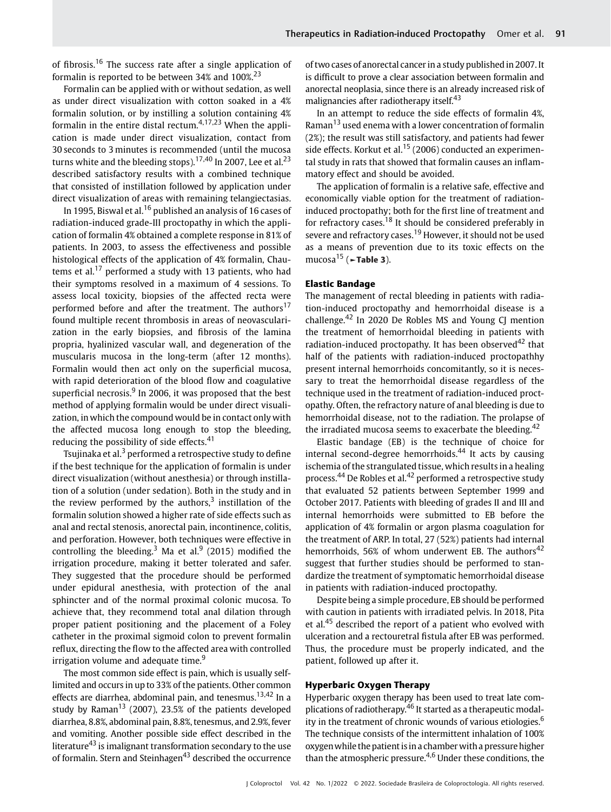of fibrosis.<sup>16</sup> The success rate after a single application of formalin is reported to be between 34% and  $100\%$ <sup>23</sup>

Formalin can be applied with or without sedation, as well as under direct visualization with cotton soaked in a 4% formalin solution, or by instilling a solution containing 4% formalin in the entire distal rectum. $4,17,23$  When the application is made under direct visualization, contact from 30 seconds to 3 minutes is recommended (until the mucosa turns white and the bleeding stops).<sup>17,40</sup> In 2007, Lee et al.<sup>23</sup> described satisfactory results with a combined technique that consisted of instillation followed by application under direct visualization of areas with remaining telangiectasias.

In 1995, Biswal et al.<sup>16</sup> published an analysis of 16 cases of radiation-induced grade-III proctopathy in which the application of formalin 4% obtained a complete response in 81% of patients. In 2003, to assess the effectiveness and possible histological effects of the application of 4% formalin, Chautems et al. $17$  performed a study with 13 patients, who had their symptoms resolved in a maximum of 4 sessions. To assess local toxicity, biopsies of the affected recta were performed before and after the treatment. The authors<sup>17</sup> found multiple recent thrombosis in areas of neovascularization in the early biopsies, and fibrosis of the lamina propria, hyalinized vascular wall, and degeneration of the muscularis mucosa in the long-term (after 12 months). Formalin would then act only on the superficial mucosa, with rapid deterioration of the blood flow and coagulative superficial necrosis. $9 \text{ In } 2006$ , it was proposed that the best method of applying formalin would be under direct visualization, in which the compound would be in contact only with the affected mucosa long enough to stop the bleeding, reducing the possibility of side effects.<sup>41</sup>

Tsujinaka et al.<sup>3</sup> performed a retrospective study to define if the best technique for the application of formalin is under direct visualization (without anesthesia) or through instillation of a solution (under sedation). Both in the study and in the review performed by the authors, $3$  instillation of the formalin solution showed a higher rate of side effects such as anal and rectal stenosis, anorectal pain, incontinence, colitis, and perforation. However, both techniques were effective in controlling the bleeding.<sup>3</sup> Ma et al.<sup>9</sup> (2015) modified the irrigation procedure, making it better tolerated and safer. They suggested that the procedure should be performed under epidural anesthesia, with protection of the anal sphincter and of the normal proximal colonic mucosa. To achieve that, they recommend total anal dilation through proper patient positioning and the placement of a Foley catheter in the proximal sigmoid colon to prevent formalin reflux, directing the flow to the affected area with controlled irrigation volume and adequate time.<sup>9</sup>

The most common side effect is pain, which is usually selflimited and occurs in up to 33% of the patients. Other common effects are diarrhea, abdominal pain, and tenesmus.<sup>13,42</sup> In a study by Raman $^{13}$  (2007), 23.5% of the patients developed diarrhea, 8.8%, abdominal pain, 8.8%, tenesmus, and 2.9%, fever and vomiting. Another possible side effect described in the literature $43$  is imalignant transformation secondary to the use of formalin. Stern and Steinhagen<sup>43</sup> described the occurrence of two cases of anorectal cancer in a study published in 2007. It is difficult to prove a clear association between formalin and anorectal neoplasia, since there is an already increased risk of malignancies after radiotherapy itself.<sup>43</sup>

In an attempt to reduce the side effects of formalin 4%, Raman<sup>13</sup> used enema with a lower concentration of formalin (2%); the result was still satisfactory, and patients had fewer side effects. Korkut et al.<sup>15</sup> (2006) conducted an experimental study in rats that showed that formalin causes an inflammatory effect and should be avoided.

The application of formalin is a relative safe, effective and economically viable option for the treatment of radiationinduced proctopathy; both for the first line of treatment and for refractory cases.<sup>18</sup> It should be considered preferably in severe and refractory cases.<sup>19</sup> However, it should not be used as a means of prevention due to its toxic effects on the mucosa<sup>15</sup> ( $\blacktriangleright$ Table 3).

#### Elastic Bandage

The management of rectal bleeding in patients with radiation-induced proctopathy and hemorrhoidal disease is a challenge.<sup>42</sup> In 2020 De Robles MS and Young CJ mention the treatment of hemorrhoidal bleeding in patients with radiation-induced proctopathy. It has been observed $42$  that half of the patients with radiation-induced proctopathhy present internal hemorrhoids concomitantly, so it is necessary to treat the hemorrhoidal disease regardless of the technique used in the treatment of radiation-induced proctopathy. Often, the refractory nature of anal bleeding is due to hemorrhoidal disease, not to the radiation. The prolapse of the irradiated mucosa seems to exacerbate the bleeding.<sup>42</sup>

Elastic bandage (EB) is the technique of choice for internal second-degree hemorrhoids.<sup>44</sup> It acts by causing ischemia of the strangulated tissue, which results in a healing process.<sup>44</sup> De Robles et al.<sup>42</sup> performed a retrospective study that evaluated 52 patients between September 1999 and October 2017. Patients with bleeding of grades II and III and internal hemorrhoids were submitted to EB before the application of 4% formalin or argon plasma coagulation for the treatment of ARP. In total, 27 (52%) patients had internal hemorrhoids, 56% of whom underwent EB. The authors<sup>42</sup> suggest that further studies should be performed to standardize the treatment of symptomatic hemorrhoidal disease in patients with radiation-induced proctopathy.

Despite being a simple procedure, EB should be performed with caution in patients with irradiated pelvis. In 2018, Pita et al.<sup>45</sup> described the report of a patient who evolved with ulceration and a rectouretral fistula after EB was performed. Thus, the procedure must be properly indicated, and the patient, followed up after it.

#### Hyperbaric Oxygen Therapy

Hyperbaric oxygen therapy has been used to treat late complications of radiotherapy.<sup>46</sup> It started as a therapeutic modality in the treatment of chronic wounds of various etiologies.<sup>6</sup> The technique consists of the intermittent inhalation of 100% oxygenwhile the patient isin a chamber with a pressure higher than the atmospheric pressure.4,6 Under these conditions, the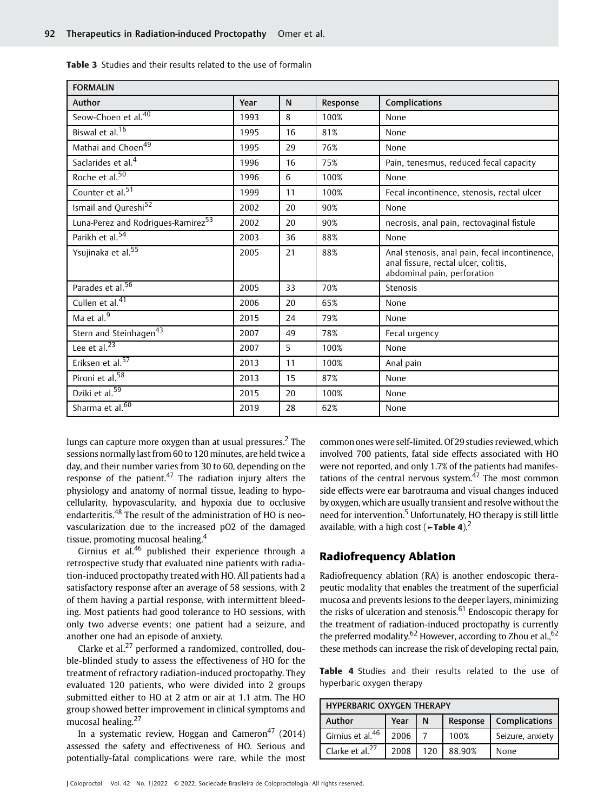| <b>FORMALIN</b>                                |      |    |          |                                                                                                                      |  |  |  |
|------------------------------------------------|------|----|----------|----------------------------------------------------------------------------------------------------------------------|--|--|--|
| Author                                         | Year | N  | Response | Complications                                                                                                        |  |  |  |
| Seow-Choen et al. <sup>40</sup>                | 1993 | 8  | 100%     | None                                                                                                                 |  |  |  |
| Biswal et al. <sup>16</sup>                    | 1995 | 16 | 81%      | None                                                                                                                 |  |  |  |
| Mathai and Choen <sup>49</sup>                 | 1995 | 29 | 76%      | None                                                                                                                 |  |  |  |
| Saclarides et al. <sup>4</sup>                 | 1996 | 16 | 75%      | Pain, tenesmus, reduced fecal capacity                                                                               |  |  |  |
| Roche et al. <sup>50</sup>                     | 1996 | 6  | 100%     | None                                                                                                                 |  |  |  |
| Counter et al. <sup>51</sup>                   | 1999 | 11 | 100%     | Fecal incontinence, stenosis, rectal ulcer                                                                           |  |  |  |
| Ismail and Qureshi <sup>52</sup>               | 2002 | 20 | 90%      | None                                                                                                                 |  |  |  |
| Luna-Perez and Rodrigues-Ramirez <sup>53</sup> | 2002 | 20 | 90%      | necrosis, anal pain, rectovaginal fistule                                                                            |  |  |  |
| Parikh et al. <sup>54</sup>                    | 2003 | 36 | 88%      | None                                                                                                                 |  |  |  |
| Ysujinaka et al. <sup>55</sup>                 | 2005 | 21 | 88%      | Anal stenosis, anal pain, fecal incontinence,<br>anal fissure, rectal ulcer, colitis,<br>abdominal pain, perforation |  |  |  |
| Parades et al. <sup>56</sup>                   | 2005 | 33 | 70%      | Stenosis                                                                                                             |  |  |  |
| Cullen et al. <sup>41</sup>                    | 2006 | 20 | 65%      | None                                                                                                                 |  |  |  |
| Ma et al. <sup>9</sup>                         | 2015 | 24 | 79%      | None                                                                                                                 |  |  |  |
| Stern and Steinhagen <sup>43</sup>             | 2007 | 49 | 78%      | Fecal urgency                                                                                                        |  |  |  |
| Lee et al. <sup>23</sup>                       | 2007 | 5  | 100%     | None                                                                                                                 |  |  |  |
| Eriksen et al. <sup>57</sup>                   | 2013 | 11 | 100%     | Anal pain                                                                                                            |  |  |  |
| Pironi et al. <sup>58</sup>                    | 2013 | 15 | 87%      | None                                                                                                                 |  |  |  |
| Dziki et al. <sup>59</sup>                     | 2015 | 20 | 100%     | None                                                                                                                 |  |  |  |
| Sharma et al. <sup>60</sup>                    | 2019 | 28 | 62%      | None                                                                                                                 |  |  |  |

Table 3 Studies and their results related to the use of formalin

lungs can capture more oxygen than at usual pressures.<sup>2</sup> The sessions normally last from 60 to 120 minutes, are held twice a day, and their number varies from 30 to 60, depending on the response of the patient.<sup>47</sup> The radiation injury alters the physiology and anatomy of normal tissue, leading to hypocellularity, hypovascularity, and hypoxia due to occlusive endarteritis.<sup>48</sup> The result of the administration of HO is neovascularization due to the increased pO2 of the damaged tissue, promoting mucosal healing.<sup>4</sup>

Girnius et al. $46$  published their experience through a retrospective study that evaluated nine patients with radiation-induced proctopathy treated with HO. All patients had a satisfactory response after an average of 58 sessions, with 2 of them having a partial response, with intermittent bleeding. Most patients had good tolerance to HO sessions, with only two adverse events; one patient had a seizure, and another one had an episode of anxiety.

Clarke et al.<sup>27</sup> performed a randomized, controlled, double-blinded study to assess the effectiveness of HO for the treatment of refractory radiation-induced proctopathy. They evaluated 120 patients, who were divided into 2 groups submitted either to HO at 2 atm or air at 1.1 atm. The HO group showed better improvement in clinical symptoms and mucosal healing.<sup>27</sup>

In a systematic review, Hoggan and Cameron<sup>47</sup> (2014) assessed the safety and effectiveness of HO. Serious and potentially-fatal complications were rare, while the most common ones were self-limited. Of 29 studies reviewed, which involved 700 patients, fatal side effects associated with HO were not reported, and only 1.7% of the patients had manifestations of the central nervous system. $47$  The most common side effects were ear barotrauma and visual changes induced by oxygen, which are usually transient and resolve without the need for intervention.<sup>5</sup> Unfortunately, HO therapy is still little available, with a high cost ( $\blacktriangleright$ Table 4).<sup>2</sup>

# Radiofrequency Ablation

Radiofrequency ablation (RA) is another endoscopic therapeutic modality that enables the treatment of the superficial mucosa and prevents lesions to the deeper layers, minimizing the risks of ulceration and stenosis.<sup>61</sup> Endoscopic therapy for the treatment of radiation-induced proctopathy is currently the preferred modality.<sup>62</sup> However, according to Zhou et al., <sup>62</sup> these methods can increase the risk of developing rectal pain,

Table 4 Studies and their results related to the use of hyperbaric oxygen therapy

| <b>HYPERBARIC OXYGEN THERAPY</b> |      |     |        |                          |  |  |  |
|----------------------------------|------|-----|--------|--------------------------|--|--|--|
| Author                           | Year |     |        | Response   Complications |  |  |  |
| Girnius et al. <sup>46</sup>     | 2006 |     | 100%   | Seizure, anxiety         |  |  |  |
| Clarke et al. <sup>27</sup>      | 2008 | 120 | 88.90% | None                     |  |  |  |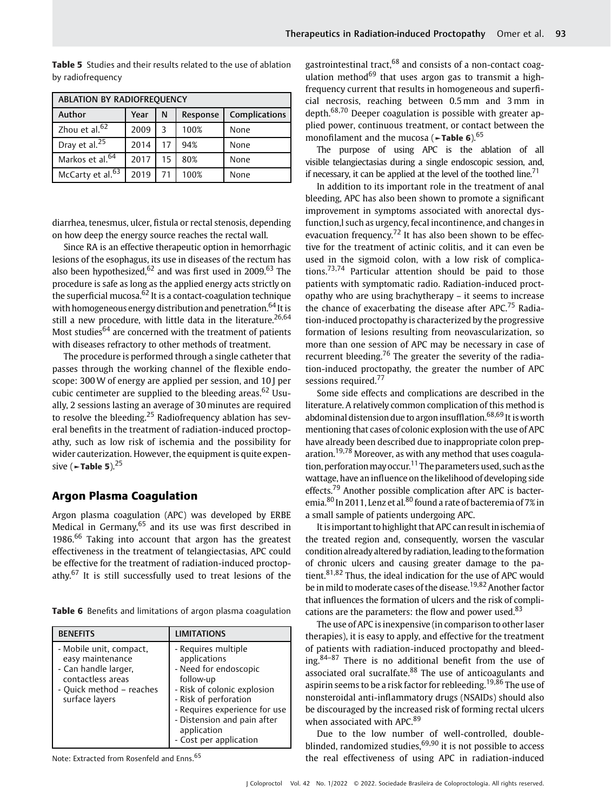| ABLATION BY RADIOFREQUENCY                       |      |    |      |      |  |  |  |  |  |
|--------------------------------------------------|------|----|------|------|--|--|--|--|--|
| Complications<br>Author<br>Year<br>N<br>Response |      |    |      |      |  |  |  |  |  |
| Zhou et al. <sup>62</sup>                        | 2009 | ς  | 100% | None |  |  |  |  |  |
| Dray et al. <sup>25</sup>                        | 2014 | 17 | 94%  | None |  |  |  |  |  |
| Markos et al. <sup>64</sup>                      | 2017 | 15 | 80%  | None |  |  |  |  |  |
| McCarty et al. <sup>63</sup>                     | 2019 |    | 100% | None |  |  |  |  |  |

Table 5 Studies and their results related to the use of ablation by radiofrequency

diarrhea, tenesmus, ulcer, fistula or rectal stenosis, depending on how deep the energy source reaches the rectal wall.

Since RA is an effective therapeutic option in hemorrhagic lesions of the esophagus, its use in diseases of the rectum has also been hypothesized, $62$  and was first used in 2009. $63$  The procedure is safe as long as the applied energy acts strictly on the superficial mucosa. $62$  It is a contact-coagulation technique with homogeneous energy distribution and penetration.<sup>64</sup> It is still a new procedure, with little data in the literature.<sup>26,64</sup> Most studies<sup>64</sup> are concerned with the treatment of patients with diseases refractory to other methods of treatment.

The procedure is performed through a single catheter that passes through the working channel of the flexible endoscope: 300 W of energy are applied per session, and 10 J per cubic centimeter are supplied to the bleeding areas.<sup>62</sup> Usually, 2 sessions lasting an average of 30 minutes are required to resolve the bleeding.<sup>25</sup> Radiofrequency ablation has several benefits in the treatment of radiation-induced proctopathy, such as low risk of ischemia and the possibility for wider cauterization. However, the equipment is quite expensive ( $\blacktriangleright$ Table 5).<sup>25</sup>

# Argon Plasma Coagulation

Argon plasma coagulation (APC) was developed by ERBE Medical in Germany, $65$  and its use was first described in 1986.<sup>66</sup> Taking into account that argon has the greatest effectiveness in the treatment of telangiectasias, APC could be effective for the treatment of radiation-induced proctopathy.<sup>67</sup> It is still successfully used to treat lesions of the

Table 6 Benefits and limitations of argon plasma coagulation

| <b>BENFFITS</b>                                                                                                                        | <b>LIMITATIONS</b>                                                                                                                                                                                                                         |
|----------------------------------------------------------------------------------------------------------------------------------------|--------------------------------------------------------------------------------------------------------------------------------------------------------------------------------------------------------------------------------------------|
| - Mobile unit, compact,<br>easy maintenance<br>- Can handle larger,<br>contactless areas<br>- Ouick method – reaches<br>surface layers | - Requires multiple<br>applications<br>- Need for endoscopic<br>follow-up<br>- Risk of colonic explosion<br>- Risk of perforation<br>- Requires experience for use<br>- Distension and pain after<br>application<br>- Cost per application |

Note: Extracted from Rosenfeld and Enns.<sup>65</sup>

gastrointestinal tract,<sup>68</sup> and consists of a non-contact coagulation method<sup>69</sup> that uses argon gas to transmit a highfrequency current that results in homogeneous and superficial necrosis, reaching between 0.5 mm and 3 mm in depth.68,70 Deeper coagulation is possible with greater applied power, continuous treatment, or contact between the monofilament and the mucosa ( $\sim$ Table 6).<sup>65</sup>

The purpose of using APC is the ablation of all visible telangiectasias during a single endoscopic session, and, if necessary, it can be applied at the level of the toothed line.<sup>71</sup>

In addition to its important role in the treatment of anal bleeding, APC has also been shown to promote a significant improvement in symptoms associated with anorectal dysfunction,l such as urgency, fecal incontinence, and changes in evacuation frequency.<sup>72</sup> It has also been shown to be effective for the treatment of actinic colitis, and it can even be used in the sigmoid colon, with a low risk of complications.<sup>73,74</sup> Particular attention should be paid to those patients with symptomatic radio. Radiation-induced proctopathy who are using brachytherapy – it seems to increase the chance of exacerbating the disease after APC.<sup>75</sup> Radiation-induced proctopathy is characterized by the progressive formation of lesions resulting from neovascularization, so more than one session of APC may be necessary in case of recurrent bleeding.<sup>76</sup> The greater the severity of the radiation-induced proctopathy, the greater the number of APC sessions required.<sup>77</sup>

Some side effects and complications are described in the literature. A relatively common complication of this method is abdominal distension due to argon insufflation.<sup>68,69</sup> It is worth mentioning that cases of colonic explosion with the use of APC have already been described due to inappropriate colon preparation.19,78 Moreover, as with any method that uses coagulation, perforation may occur.<sup>11</sup> The parameters used, such as the wattage, have an influence on the likelihood of developing side effects.<sup>79</sup> Another possible complication after APC is bacteremia.<sup>80</sup> In 2011, Lenz et al.<sup>80</sup> found a rate of bacteremia of 7% in a small sample of patients undergoing APC.

It isimportant to highlight that APC can result in ischemia of the treated region and, consequently, worsen the vascular condition already altered by radiation, leading to the formation of chronic ulcers and causing greater damage to the patient. $81,82$  Thus, the ideal indication for the use of APC would be in mild to moderate cases of the disease.<sup>19,82</sup> Another factor that influences the formation of ulcers and the risk of complications are the parameters: the flow and power used. $83$ 

The use of APC is inexpensive (in comparison to other laser therapies), it is easy to apply, and effective for the treatment of patients with radiation-induced proctopathy and bleeding.84–<sup>87</sup> There is no additional benefit from the use of associated oral sucralfate.<sup>88</sup> The use of anticoagulants and aspirin seems to be a risk factor for rebleeding.<sup>19,86</sup> The use of nonsteroidal anti-inflammatory drugs (NSAIDs) should also be discouraged by the increased risk of forming rectal ulcers when associated with APC.<sup>89</sup>

Due to the low number of well-controlled, doubleblinded, randomized studies, $69,90$  it is not possible to access the real effectiveness of using APC in radiation-induced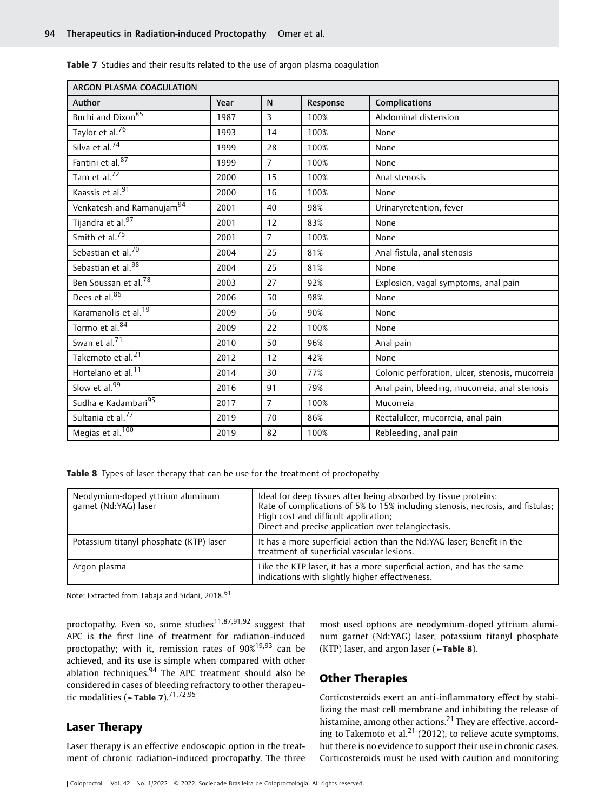| ARGON PLASMA COAGULATION              |      |                |          |                                                 |  |  |  |
|---------------------------------------|------|----------------|----------|-------------------------------------------------|--|--|--|
| Author                                | Year | N              | Response | Complications                                   |  |  |  |
| Buchi and Dixon <sup>85</sup>         | 1987 | $\overline{3}$ | 100%     | Abdominal distension                            |  |  |  |
| Taylor et al. <sup>76</sup>           | 1993 | 14             | 100%     | None                                            |  |  |  |
| Silva et al. <sup>74</sup>            | 1999 | 28             | 100%     | None                                            |  |  |  |
| Fantini et al. <sup>87</sup>          | 1999 | $\overline{7}$ | 100%     | None                                            |  |  |  |
| Tam et al. $^{72}$                    | 2000 | 15             | 100%     | Anal stenosis                                   |  |  |  |
| Kaassis et al. <sup>91</sup>          | 2000 | 16             | 100%     | None                                            |  |  |  |
| Venkatesh and Ramanujam <sup>94</sup> | 2001 | 40             | 98%      | Urinaryretention, fever                         |  |  |  |
| Tijandra et al. <sup>97</sup>         | 2001 | 12             | 83%      | None                                            |  |  |  |
| Smith et al. <sup>75</sup>            | 2001 | $\overline{7}$ | 100%     | None                                            |  |  |  |
| Sebastian et al. <sup>70</sup>        | 2004 | 25             | 81%      | Anal fistula, anal stenosis                     |  |  |  |
| Sebastian et al. <sup>98</sup>        | 2004 | 25             | 81%      | None                                            |  |  |  |
| Ben Soussan et al. <sup>78</sup>      | 2003 | 27             | 92%      | Explosion, vagal symptoms, anal pain            |  |  |  |
| Dees et al. <sup>86</sup>             | 2006 | 50             | 98%      | None                                            |  |  |  |
| Karamanolis et al. <sup>19</sup>      | 2009 | 56             | 90%      | None                                            |  |  |  |
| Tormo et al. <sup>84</sup>            | 2009 | 22             | 100%     | None                                            |  |  |  |
| Swan et al. <sup>71</sup>             | 2010 | 50             | 96%      | Anal pain                                       |  |  |  |
| Takemoto et al. <sup>21</sup>         | 2012 | 12             | 42%      | None                                            |  |  |  |
| Hortelano et al. <sup>11</sup>        | 2014 | 30             | 77%      | Colonic perforation, ulcer, stenosis, mucorreia |  |  |  |
| Slow et al. <sup>99</sup>             | 2016 | 91             | 79%      | Anal pain, bleeding, mucorreia, anal stenosis   |  |  |  |
| Sudha e Kadambari <sup>95</sup>       | 2017 | $\overline{7}$ | 100%     | Mucorreia                                       |  |  |  |
| Sultania et al. <sup>77</sup>         | 2019 | 70             | 86%      | Rectalulcer, mucorreia, anal pain               |  |  |  |
| Megias et al. <sup>100</sup>          | 2019 | 82             | 100%     | Rebleeding, anal pain                           |  |  |  |
|                                       |      |                |          |                                                 |  |  |  |

**Table 7** Studies and their results related to the use of argon plasma coagulation

Table 8 Types of laser therapy that can be use for the treatment of proctopathy

| Neodymium-doped yttrium aluminum<br>qarnet (Nd:YAG) laser | Ideal for deep tissues after being absorbed by tissue proteins;<br>Rate of complications of 5% to 15% including stenosis, necrosis, and fistulas;<br>High cost and difficult application;<br>Direct and precise application over telangiectasis. |
|-----------------------------------------------------------|--------------------------------------------------------------------------------------------------------------------------------------------------------------------------------------------------------------------------------------------------|
| Potassium titanyl phosphate (KTP) laser                   | It has a more superficial action than the Nd:YAG laser; Benefit in the<br>treatment of superficial vascular lesions.                                                                                                                             |
| Argon plasma                                              | Like the KTP laser, it has a more superficial action, and has the same<br>indications with slightly higher effectiveness.                                                                                                                        |

Note: Extracted from Tabaja and Sidani, 2018.<sup>61</sup>

proctopathy. Even so, some studies<sup>11,87,91,92</sup> suggest that APC is the first line of treatment for radiation-induced proctopathy; with it, remission rates of  $90\%$ <sup>19,93</sup> can be achieved, and its use is simple when compared with other ablation techniques. $94$  The APC treatment should also be considered in cases of bleeding refractory to other therapeutic modalities ( $\neg$ Table 7).<sup>71,72,95</sup>

# Laser Therapy

Laser therapy is an effective endoscopic option in the treatment of chronic radiation-induced proctopathy. The three most used options are neodymium-doped yttrium aluminum garnet (Nd:YAG) laser, potassium titanyl phosphate (KTP) laser, and argon laser ( $\blacktriangleright$ Table 8).

### Other Therapies

Corticosteroids exert an anti-inflammatory effect by stabilizing the mast cell membrane and inhibiting the release of histamine, among other actions.<sup>21</sup> They are effective, according to Takemoto et al.<sup>21</sup> (2012), to relieve acute symptoms, but there is no evidence to support their use in chronic cases. Corticosteroids must be used with caution and monitoring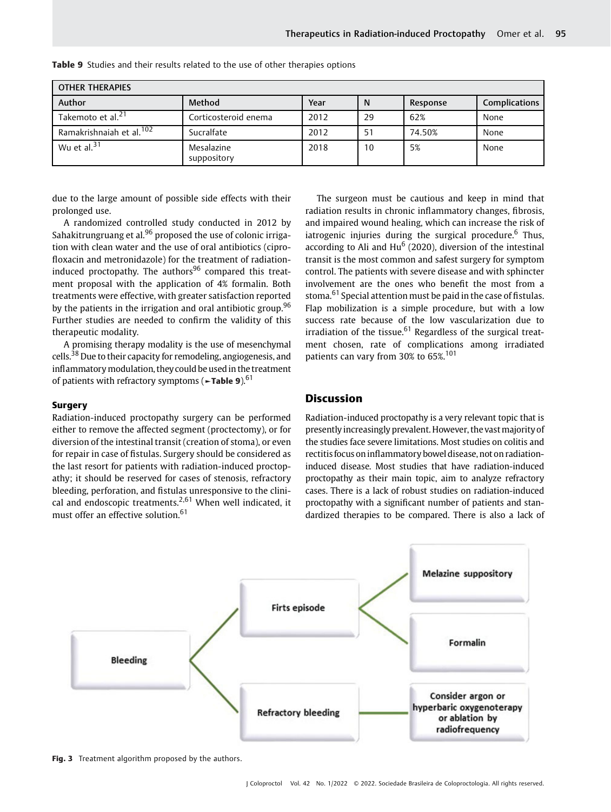| <b>OTHER THERAPIES</b>               |                           |      |    |          |                      |  |  |  |
|--------------------------------------|---------------------------|------|----|----------|----------------------|--|--|--|
| Author                               | Method                    | Year | N  | Response | <b>Complications</b> |  |  |  |
| Takemoto et al. <sup>21</sup>        | Corticosteroid enema      | 2012 | 29 | 62%      | None                 |  |  |  |
| Ramakrishnaiah et al. <sup>102</sup> | Sucralfate                | 2012 | 51 | 74.50%   | None                 |  |  |  |
| Wu et al. $31$                       | Mesalazine<br>suppository | 2018 | 10 | 5%       | None                 |  |  |  |

Table 9 Studies and their results related to the use of other therapies options

due to the large amount of possible side effects with their prolonged use.

A randomized controlled study conducted in 2012 by Sahakitrungruang et al.<sup>96</sup> proposed the use of colonic irrigation with clean water and the use of oral antibiotics (ciprofloxacin and metronidazole) for the treatment of radiationinduced proctopathy. The  $a$ uthors<sup>96</sup> compared this treatment proposal with the application of 4% formalin. Both treatments were effective, with greater satisfaction reported by the patients in the irrigation and oral antibiotic group.<sup>96</sup> Further studies are needed to confirm the validity of this therapeutic modality.

A promising therapy modality is the use of mesenchymal cells.<sup>38</sup> Due to their capacity for remodeling, angiogenesis, and inflammatorymodulation, they could be used in the treatment of patients with refractory symptoms (►Table 9).<sup>61</sup>

#### **Surgery**

Radiation-induced proctopathy surgery can be performed either to remove the affected segment (proctectomy), or for diversion of the intestinal transit (creation of stoma), or even for repair in case of fistulas. Surgery should be considered as the last resort for patients with radiation-induced proctopathy; it should be reserved for cases of stenosis, refractory bleeding, perforation, and fistulas unresponsive to the clinical and endoscopic treatments.<sup>2,61</sup> When well indicated, it must offer an effective solution.<sup>61</sup>

The surgeon must be cautious and keep in mind that radiation results in chronic inflammatory changes, fibrosis, and impaired wound healing, which can increase the risk of iatrogenic injuries during the surgical procedure.<sup>6</sup> Thus, according to Ali and  $Hu^6$  (2020), diversion of the intestinal transit is the most common and safest surgery for symptom control. The patients with severe disease and with sphincter involvement are the ones who benefit the most from a stoma.<sup>61</sup> Special attention must be paid in the case of fistulas. Flap mobilization is a simple procedure, but with a low success rate because of the low vascularization due to irradiation of the tissue. $61$  Regardless of the surgical treatment chosen, rate of complications among irradiated patients can vary from 30% to 65%.<sup>101</sup>

# Discussion

Radiation-induced proctopathy is a very relevant topic that is presently increasingly prevalent. However, the vastmajority of the studies face severe limitations. Most studies on colitis and rectitis focus oninflammatory bowel disease, not on radiationinduced disease. Most studies that have radiation-induced proctopathy as their main topic, aim to analyze refractory cases. There is a lack of robust studies on radiation-induced proctopathy with a significant number of patients and standardized therapies to be compared. There is also a lack of



Fig. 3 Treatment algorithm proposed by the authors.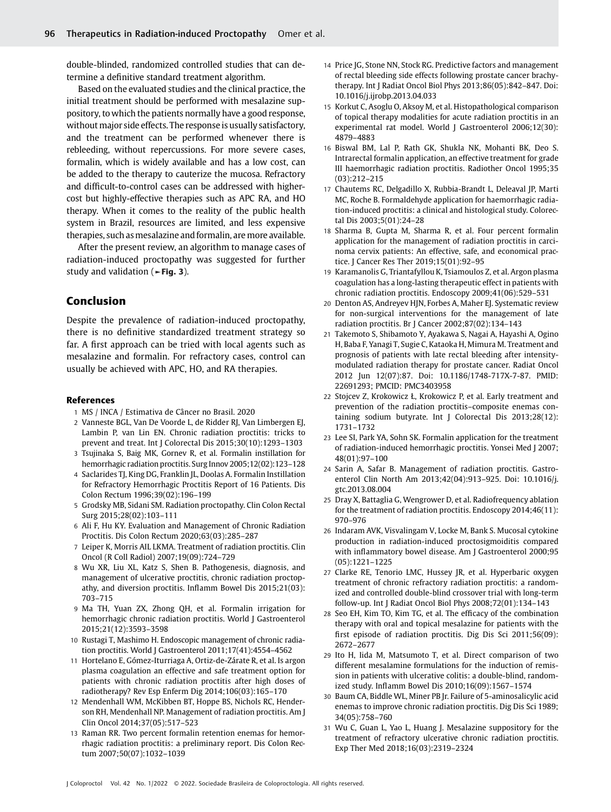double-blinded, randomized controlled studies that can determine a definitive standard treatment algorithm.

Based on the evaluated studies and the clinical practice, the initial treatment should be performed with mesalazine suppository, to which the patients normally have a good response, without major side effects. The response is usually satisfactory, and the treatment can be performed whenever there is rebleeding, without repercussions. For more severe cases, formalin, which is widely available and has a low cost, can be added to the therapy to cauterize the mucosa. Refractory and difficult-to-control cases can be addressed with highercost but highly-effective therapies such as APC RA, and HO therapy. When it comes to the reality of the public health system in Brazil, resources are limited, and less expensive therapies, such as mesalazine and formalin, are more available.

After the present review, an algorithm to manage cases of radiation-induced proctopathy was suggested for further study and validation (►Fig. 3).

## Conclusion

Despite the prevalence of radiation-induced proctopathy, there is no definitive standardized treatment strategy so far. A first approach can be tried with local agents such as mesalazine and formalin. For refractory cases, control can usually be achieved with APC, HO, and RA therapies.

#### References

- 1 MS / INCA / Estimativa de Câncer no Brasil. 2020
- 2 Vanneste BGL, Van De Voorde L, de Ridder RJ, Van Limbergen EJ, Lambin P, van Lin EN. Chronic radiation proctitis: tricks to prevent and treat. Int J Colorectal Dis 2015;30(10):1293–1303
- 3 Tsujinaka S, Baig MK, Gornev R, et al. Formalin instillation for hemorrhagic radiation proctitis. Surg Innov 2005;12(02):123–128
- 4 Saclarides TJ, King DG, Franklin JL, Doolas A. Formalin Instillation for Refractory Hemorrhagic Proctitis Report of 16 Patients. Dis Colon Rectum 1996;39(02):196–199
- 5 Grodsky MB, Sidani SM. Radiation proctopathy. Clin Colon Rectal Surg 2015;28(02):103–111
- 6 Ali F, Hu KY. Evaluation and Management of Chronic Radiation Proctitis. Dis Colon Rectum 2020;63(03):285–287
- 7 Leiper K, Morris AIL LKMA. Treatment of radiation proctitis. Clin Oncol (R Coll Radiol) 2007;19(09):724–729
- 8 Wu XR, Liu XL, Katz S, Shen B. Pathogenesis, diagnosis, and management of ulcerative proctitis, chronic radiation proctopathy, and diversion proctitis. Inflamm Bowel Dis 2015;21(03): 703–715
- 9 Ma TH, Yuan ZX, Zhong QH, et al. Formalin irrigation for hemorrhagic chronic radiation proctitis. World J Gastroenterol 2015;21(12):3593–3598
- 10 Rustagi T, Mashimo H. Endoscopic management of chronic radiation proctitis. World J Gastroenterol 2011;17(41):4554-4562
- 11 Hortelano E, Gómez-Iturriaga A, Ortiz-de-Zárate R, et al. Is argon plasma coagulation an effective and safe treatment option for patients with chronic radiation proctitis after high doses of radiotherapy? Rev Esp Enferm Dig 2014;106(03):165–170
- 12 Mendenhall WM, McKibben BT, Hoppe BS, Nichols RC, Henderson RH, Mendenhall NP. Management of radiation proctitis. Am J Clin Oncol 2014;37(05):517–523
- 13 Raman RR. Two percent formalin retention enemas for hemorrhagic radiation proctitis: a preliminary report. Dis Colon Rectum 2007;50(07):1032–1039
- 14 Price JG, Stone NN, Stock RG. Predictive factors and management of rectal bleeding side effects following prostate cancer brachytherapy. Int J Radiat Oncol Biol Phys 2013;86(05):842–847. Doi: 10.1016/j.ijrobp.2013.04.033
- 15 Korkut C, Asoglu O, Aksoy M, et al. Histopathological comparison of topical therapy modalities for acute radiation proctitis in an experimental rat model. World J Gastroenterol 2006;12(30): 4879–4883
- 16 Biswal BM, Lal P, Rath GK, Shukla NK, Mohanti BK, Deo S. Intrarectal formalin application, an effective treatment for grade III haemorrhagic radiation proctitis. Radiother Oncol 1995;35 (03):212–215
- 17 Chautems RC, Delgadillo X, Rubbia-Brandt L, Deleaval JP, Marti MC, Roche B. Formaldehyde application for haemorrhagic radiation-induced proctitis: a clinical and histological study. Colorectal Dis 2003;5(01):24–28
- 18 Sharma B, Gupta M, Sharma R, et al. Four percent formalin application for the management of radiation proctitis in carcinoma cervix patients: An effective, safe, and economical practice. J Cancer Res Ther 2019;15(01):92–95
- 19 Karamanolis G, Triantafyllou K, Tsiamoulos Z, et al. Argon plasma coagulation has a long-lasting therapeutic effect in patients with chronic radiation proctitis. Endoscopy 2009;41(06):529–531
- 20 Denton AS, Andreyev HJN, Forbes A, Maher EJ. Systematic review for non-surgical interventions for the management of late radiation proctitis. Br J Cancer 2002;87(02):134–143
- 21 Takemoto S, Shibamoto Y, Ayakawa S, Nagai A, Hayashi A, Ogino H, Baba F, Yanagi T, Sugie C, Kataoka H, Mimura M. Treatment and prognosis of patients with late rectal bleeding after intensitymodulated radiation therapy for prostate cancer. Radiat Oncol 2012 Jun 12(07):87. Doi: 10.1186/1748-717X-7-87. PMID: 22691293; PMCID: PMC3403958
- 22 Stojcev Z, Krokowicz Ł, Krokowicz P, et al. Early treatment and prevention of the radiation proctitis–composite enemas containing sodium butyrate. Int J Colorectal Dis 2013;28(12): 1731–1732
- 23 Lee SI, Park YA, Sohn SK. Formalin application for the treatment of radiation-induced hemorrhagic proctitis. Yonsei Med J 2007; 48(01):97–100
- 24 Sarin A, Safar B. Management of radiation proctitis. Gastroenterol Clin North Am 2013;42(04):913–925. Doi: 10.1016/j. gtc.2013.08.004
- 25 Dray X, Battaglia G, Wengrower D, et al. Radiofrequency ablation for the treatment of radiation proctitis. Endoscopy 2014;46(11): 970–976
- 26 Indaram AVK, Visvalingam V, Locke M, Bank S. Mucosal cytokine production in radiation-induced proctosigmoiditis compared with inflammatory bowel disease. Am J Gastroenterol 2000;95 (05):1221–1225
- 27 Clarke RE, Tenorio LMC, Hussey JR, et al. Hyperbaric oxygen treatment of chronic refractory radiation proctitis: a randomized and controlled double-blind crossover trial with long-term follow-up. Int J Radiat Oncol Biol Phys 2008;72(01):134–143
- 28 Seo EH, Kim TO, Kim TG, et al. The efficacy of the combination therapy with oral and topical mesalazine for patients with the first episode of radiation proctitis. Dig Dis Sci 2011;56(09): 2672–2677
- 29 Ito H, Iida M, Matsumoto T, et al. Direct comparison of two different mesalamine formulations for the induction of remission in patients with ulcerative colitis: a double-blind, randomized study. Inflamm Bowel Dis 2010;16(09):1567–1574
- 30 Baum CA, Biddle WL, Miner PB Jr. Failure of 5-aminosalicylic acid enemas to improve chronic radiation proctitis. Dig Dis Sci 1989; 34(05):758–760
- 31 Wu C, Guan L, Yao L, Huang J. Mesalazine suppository for the treatment of refractory ulcerative chronic radiation proctitis. Exp Ther Med 2018;16(03):2319–2324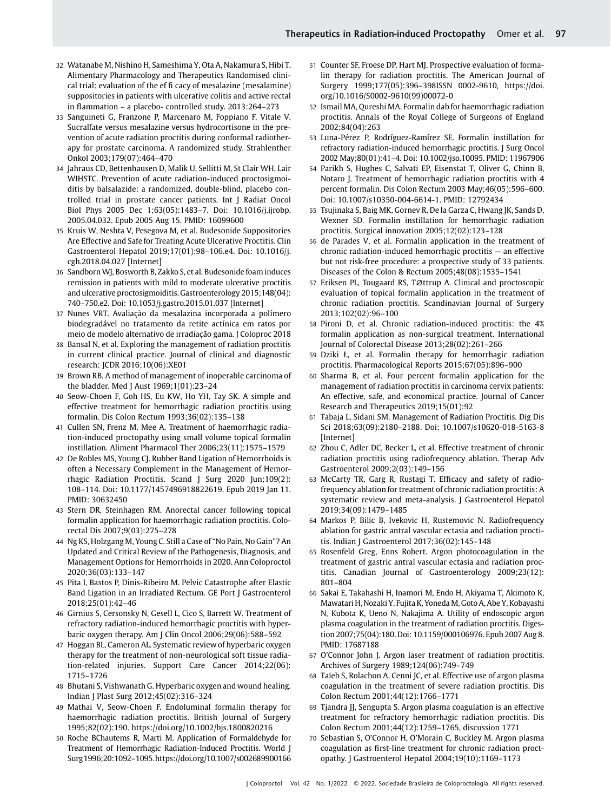- 32 Watanabe M, Nishino H, Sameshima Y, Ota A, Nakamura S, Hibi T. Alimentary Pharmacology and Therapeutics Randomised clinical trial: evaluation of the ef fi cacy of mesalazine (mesalamine) suppositories in patients with ulcerative colitis and active rectal in flammation – a placebo- controlled study. 2013:264–273
- 33 Sanguineti G, Franzone P, Marcenaro M, Foppiano F, Vitale V. Sucralfate versus mesalazine versus hydrocortisone in the prevention of acute radiation proctitis during conformal radiotherapy for prostate carcinoma. A randomized study. Strahlenther Onkol 2003;179(07):464–470
- 34 Jahraus CD, Bettenhausen D, Malik U, Sellitti M, St Clair WH, Lair WIHSTC. Prevention of acute radiation-induced proctosigmoiditis by balsalazide: a randomized, double-blind, placebo controlled trial in prostate cancer patients. Int J Radiat Oncol Biol Phys 2005 Dec 1;63(05):1483–7. Doi: 10.1016/j.ijrobp. 2005.04.032. Epub 2005 Aug 15. PMID: 16099600
- 35 Kruis W, Neshta V, Pesegova M, et al. Budesonide Suppositories Are Effective and Safe for Treating Acute Ulcerative Proctitis. Clin Gastroenterol Hepatol 2019;17(01):98–106.e4. Doi: 10.1016/j. cgh.2018.04.027 [Internet]
- 36 Sandborn WJ, Bosworth B, Zakko S, et al. Budesonide foam induces remission in patients with mild to moderate ulcerative proctitis and ulcerative proctosigmoiditis. Gastroenterology 2015;148(04): 740–750.e2. Doi: 10.1053/j.gastro.2015.01.037 [Internet]
- 37 Nunes VRT. Avaliação da mesalazina incorporada a polímero biodegradável no tratamento da retite actínica em ratos por meio de modelo alternativo de irradiação gama. J Coloproc 2018
- 38 Bansal N, et al. Exploring the management of radiation proctitis in current clinical practice. Journal of clinical and diagnostic research: JCDR 2016;10(06):XE01
- 39 Brown RB. A method of management of inoperable carcinoma of the bladder. Med J Aust 1969;1(01):23–24
- 40 Seow-Choen F, Goh HS, Eu KW, Ho YH, Tay SK. A simple and effective treatment for hemorrhagic radiation proctitis using formalin. Dis Colon Rectum 1993;36(02):135–138
- 41 Cullen SN, Frenz M, Mee A. Treatment of haemorrhagic radiation-induced proctopathy using small volume topical formalin instillation. Aliment Pharmacol Ther 2006;23(11):1575–1579
- 42 De Robles MS, Young CJ. Rubber Band Ligation of Hemorrhoids is often a Necessary Complement in the Management of Hemorrhagic Radiation Proctitis. Scand J Surg 2020 Jun;109(2): 108–114. Doi: 10.1177/1457496918822619. Epub 2019 Jan 11. PMID: 30632450
- 43 Stern DR, Steinhagen RM. Anorectal cancer following topical formalin application for haemorrhagic radiation proctitis. Colorectal Dis 2007;9(03):275–278
- 44 Ng KS, Holzgang M, Young C. Still a Case of "No Pain, No Gain"? An Updated and Critical Review of the Pathogenesis, Diagnosis, and Management Options for Hemorrhoids in 2020. Ann Coloproctol 2020;36(03):133–147
- 45 Pita I, Bastos P, Dinis-Ribeiro M. Pelvic Catastrophe after Elastic Band Ligation in an Irradiated Rectum. GE Port J Gastroenterol 2018;25(01):42–46
- 46 Girnius S, Cersonsky N, Gesell L, Cico S, Barrett W. Treatment of refractory radiation-induced hemorrhagic proctitis with hyperbaric oxygen therapy. Am J Clin Oncol 2006;29(06):588–592
- 47 Hoggan BL, Cameron AL. Systematic review of hyperbaric oxygen therapy for the treatment of non-neurological soft tissue radiation-related injuries. Support Care Cancer 2014;22(06): 1715–1726
- 48 Bhutani S, Vishwanath G. Hyperbaric oxygen and wound healing. Indian J Plast Surg 2012;45(02):316–324
- 49 Mathai V, Seow-Choen F. Endoluminal formalin therapy for haemorrhagic radiation proctitis. British Journal of Surgery 1995;82(02):190.<https://doi.org/10.1002/bjs.1800820216>
- 50 Roche BChautems R, Marti M. Application of Formaldehyde for Treatment of Hemorrhagic Radiation-Induced Proctitis. World J Surg1996;20:1092–1095.<https://doi.org/10.1007/s002689900166>
- 51 Counter SF, Froese DP, Hart MJ. Prospective evaluation of formalin therapy for radiation proctitis. The American Journal of Surgery 1999;177(05):396–398ISSN 0002-9610, [https://doi.](https://doi.org/10.1016/S0002-9610(99)00072-0) [org/10.1016/S0002-9610\(99\)00072-0](https://doi.org/10.1016/S0002-9610(99)00072-0)
- 52 Ismail MA, Qureshi MA. Formalin dab for haemorrhagic radiation proctitis. Annals of the Royal College of Surgeons of England 2002;84(04):263
- 53 Luna-Pérez P, Rodríguez-Ramírez SE. Formalin instillation for refractory radiation-induced hemorrhagic proctitis. J Surg Oncol 2002 May;80(01):41–4. Doi: 10.1002/jso.10095. PMID: 11967906
- 54 Parikh S, Hughes C, Salvati EP, Eisenstat T, Oliver G, Chinn B, Notaro J. Treatment of hemorrhagic radiation proctitis with 4 percent formalin. Dis Colon Rectum 2003 May;46(05):596–600. Doi: 10.1007/s10350-004-6614-1. PMID: 12792434
- 55 Tsujinaka S, Baig MK, Gornev R, De la Garza C, Hwang JK, Sands D, Wexner SD. Formalin instillation for hemorrhagic radiation proctitis. Surgical innovation 2005;12(02):123–128
- 56 de Parades V, et al. Formalin application in the treatment of chronic radiation-induced hemorrhagic proctitis — an effective but not risk-free procedure: a prospective study of 33 patients. Diseases of the Colon & Rectum 2005;48(08):1535–1541
- 57 Eriksen PL, Tougaard RS, T∅ttrup A. Clinical and proctoscopic evaluation of topical formalin application in the treatment of chronic radiation proctitis. Scandinavian Journal of Surgery 2013;102(02):96–100
- 58 Pironi D, et al. Chronic radiation-induced proctitis: the 4% formalin application as non-surgical treatment. International Journal of Colorectal Disease 2013;28(02):261–266
- 59 Dziki Ł, et al. Formalin therapy for hemorrhagic radiation proctitis. Pharmacological Reports 2015;67(05):896–900
- 60 Sharma B, et al. Four percent formalin application for the management of radiation proctitis in carcinoma cervix patients: An effective, safe, and economical practice. Journal of Cancer Research and Therapeutics 2019;15(01):92
- 61 Tabaja L, Sidani SM. Management of Radiation Proctitis. Dig Dis Sci 2018;63(09):2180–2188. Doi: 10.1007/s10620-018-5163-8 [Internet]
- 62 Zhou C, Adler DC, Becker L, et al. Effective treatment of chronic radiation proctitis using radiofrequency ablation. Therap Adv Gastroenterol 2009;2(03):149–156
- 63 McCarty TR, Garg R, Rustagi T. Efficacy and safety of radiofrequency ablation for treatment of chronic radiation proctitis: A systematic review and meta-analysis. J Gastroenterol Hepatol 2019;34(09):1479–1485
- 64 Markos P, Bilic B, Ivekovic H, Rustemovic N. Radiofrequency ablation for gastric antral vascular ectasia and radiation proctitis. Indian J Gastroenterol 2017;36(02):145–148
- 65 Rosenfeld Greg, Enns Robert. Argon photocoagulation in the treatment of gastric antral vascular ectasia and radiation proctitis. Canadian Journal of Gastroenterology 2009;23(12): 801–804
- 66 Sakai E, Takahashi H, Inamori M, Endo H, Akiyama T, Akimoto K, Mawatari H, Nozaki Y, Fujita K, Yoneda M, Goto A, Abe Y, Kobayashi N, Kubota K, Ueno N, Nakajima A. Utility of endoscopic argon plasma coagulation in the treatment of radiation proctitis. Digestion 2007;75(04):180. Doi: 10.1159/000106976. Epub 2007 Aug 8. PMID: 17687188
- 67 O'Connor John J. Argon laser treatment of radiation proctitis. Archives of Surgery 1989;124(06):749–749
- 68 Taïeb S, Rolachon A, Cenni JC, et al. Effective use of argon plasma coagulation in the treatment of severe radiation proctitis. Dis Colon Rectum 2001;44(12):1766–1771
- 69 Tjandra JJ, Sengupta S. Argon plasma coagulation is an effective treatment for refractory hemorrhagic radiation proctitis. Dis Colon Rectum 2001;44(12):1759–1765, discussion 1771
- 70 Sebastian S, O'Connor H, O'Morain C, Buckley M. Argon plasma coagulation as first-line treatment for chronic radiation proctopathy. J Gastroenterol Hepatol 2004;19(10):1169–1173